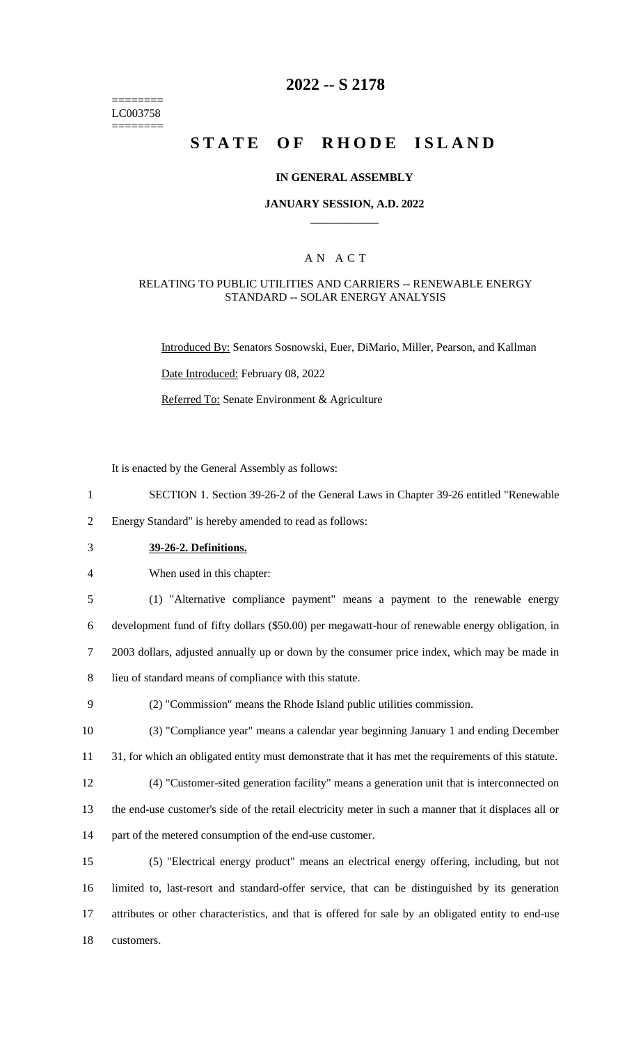======== LC003758 ========

## **2022 -- S 2178**

# **STATE OF RHODE ISLAND**

#### **IN GENERAL ASSEMBLY**

#### **JANUARY SESSION, A.D. 2022 \_\_\_\_\_\_\_\_\_\_\_\_**

### A N A C T

#### RELATING TO PUBLIC UTILITIES AND CARRIERS -- RENEWABLE ENERGY STANDARD -- SOLAR ENERGY ANALYSIS

Introduced By: Senators Sosnowski, Euer, DiMario, Miller, Pearson, and Kallman

Date Introduced: February 08, 2022

Referred To: Senate Environment & Agriculture

It is enacted by the General Assembly as follows:

1 SECTION 1. Section 39-26-2 of the General Laws in Chapter 39-26 entitled "Renewable

2 Energy Standard" is hereby amended to read as follows:

- 3 **39-26-2. Definitions.**
- 4 When used in this chapter:

 (1) "Alternative compliance payment" means a payment to the renewable energy development fund of fifty dollars (\$50.00) per megawatt-hour of renewable energy obligation, in 2003 dollars, adjusted annually up or down by the consumer price index, which may be made in lieu of standard means of compliance with this statute.

9 (2) "Commission" means the Rhode Island public utilities commission.

10 (3) "Compliance year" means a calendar year beginning January 1 and ending December 11 31, for which an obligated entity must demonstrate that it has met the requirements of this statute.

12 (4) "Customer-sited generation facility" means a generation unit that is interconnected on 13 the end-use customer's side of the retail electricity meter in such a manner that it displaces all or 14 part of the metered consumption of the end-use customer.

 (5) "Electrical energy product" means an electrical energy offering, including, but not limited to, last-resort and standard-offer service, that can be distinguished by its generation attributes or other characteristics, and that is offered for sale by an obligated entity to end-use customers.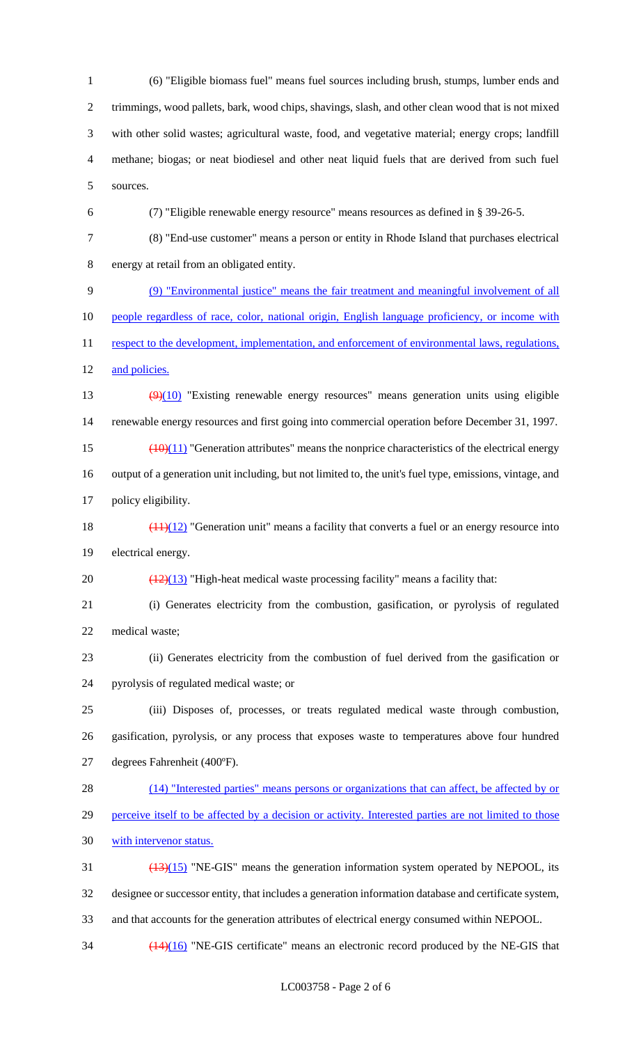(6) "Eligible biomass fuel" means fuel sources including brush, stumps, lumber ends and trimmings, wood pallets, bark, wood chips, shavings, slash, and other clean wood that is not mixed with other solid wastes; agricultural waste, food, and vegetative material; energy crops; landfill methane; biogas; or neat biodiesel and other neat liquid fuels that are derived from such fuel sources.

(7) "Eligible renewable energy resource" means resources as defined in § 39-26-5.

 (8) "End-use customer" means a person or entity in Rhode Island that purchases electrical energy at retail from an obligated entity.

(9) "Environmental justice" means the fair treatment and meaningful involvement of all

10 people regardless of race, color, national origin, English language proficiency, or income with

11 respect to the development, implementation, and enforcement of environmental laws, regulations, 12 and policies.

13 (9)(10) "Existing renewable energy resources" means generation units using eligible renewable energy resources and first going into commercial operation before December 31, 1997.

15  $\left(\frac{(10)(11)}{2}\right)$  "Generation attributes" means the nonprice characteristics of the electrical energy output of a generation unit including, but not limited to, the unit's fuel type, emissions, vintage, and

policy eligibility.

18  $\left(\frac{(11)(12)}{2}\right)$  "Generation unit" means a facility that converts a fuel or an energy resource into electrical energy.

20  $\left(\frac{(12)(13)}{(12)(13)}\right)$  "High-heat medical waste processing facility" means a facility that:

 (i) Generates electricity from the combustion, gasification, or pyrolysis of regulated medical waste;

 (ii) Generates electricity from the combustion of fuel derived from the gasification or pyrolysis of regulated medical waste; or

 (iii) Disposes of, processes, or treats regulated medical waste through combustion, gasification, pyrolysis, or any process that exposes waste to temperatures above four hundred degrees Fahrenheit (400ºF).

28 (14) "Interested parties" means persons or organizations that can affect, be affected by or perceive itself to be affected by a decision or activity. Interested parties are not limited to those with intervenor status.

 (13)(15) "NE-GIS" means the generation information system operated by NEPOOL, its designee or successor entity, that includes a generation information database and certificate system, and that accounts for the generation attributes of electrical energy consumed within NEPOOL.

 $\frac{(14)(16)}{14}$  "NE-GIS certificate" means an electronic record produced by the NE-GIS that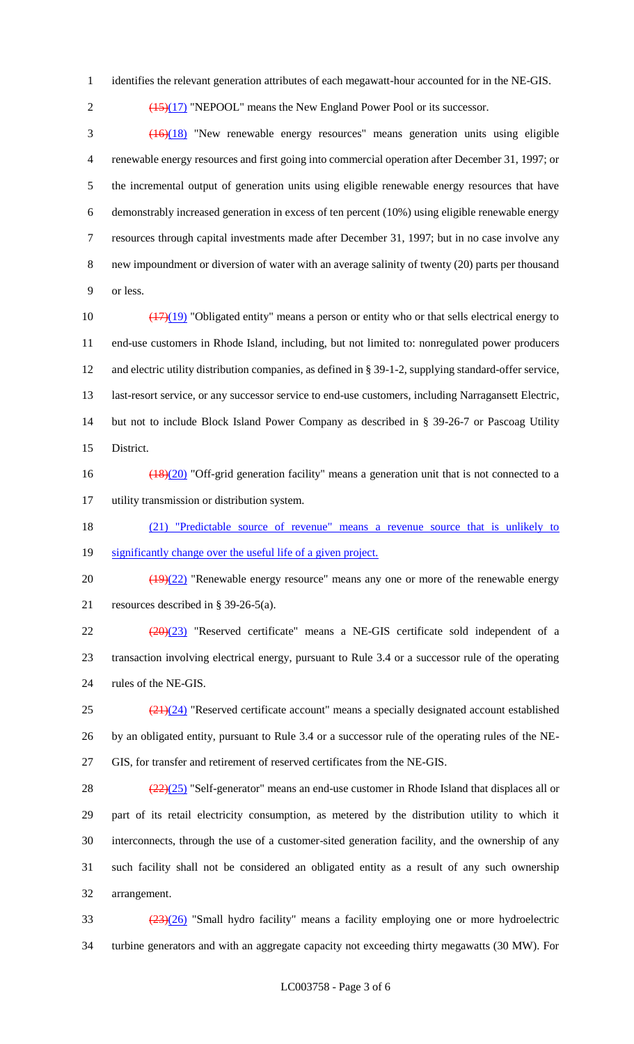- identifies the relevant generation attributes of each megawatt-hour accounted for in the NE-GIS.
- 

2  $\left(\frac{(15)(17)}{2}\right)$  "NEPOOL" means the New England Power Pool or its successor.

 (16)(18) "New renewable energy resources" means generation units using eligible renewable energy resources and first going into commercial operation after December 31, 1997; or the incremental output of generation units using eligible renewable energy resources that have demonstrably increased generation in excess of ten percent (10%) using eligible renewable energy resources through capital investments made after December 31, 1997; but in no case involve any new impoundment or diversion of water with an average salinity of twenty (20) parts per thousand or less.

 $\left(\frac{(17)(19)}{(17)(19)}\right)$  "Obligated entity" means a person or entity who or that sells electrical energy to end-use customers in Rhode Island, including, but not limited to: nonregulated power producers and electric utility distribution companies, as defined in § 39-1-2, supplying standard-offer service, last-resort service, or any successor service to end-use customers, including Narragansett Electric, but not to include Block Island Power Company as described in § 39-26-7 or Pascoag Utility District.

- (18)(20) "Off-grid generation facility" means a generation unit that is not connected to a utility transmission or distribution system.
- (21) "Predictable source of revenue" means a revenue source that is unlikely to
- 19 significantly change over the useful life of a given project.

 $20 \left( \frac{(19)(22)}{(19)(22)} \right)$  "Renewable energy resource" means any one or more of the renewable energy resources described in § 39-26-5(a).

 (20)(23) "Reserved certificate" means a NE-GIS certificate sold independent of a transaction involving electrical energy, pursuant to Rule 3.4 or a successor rule of the operating rules of the NE-GIS.

 $\frac{(21)(24)}{2}$  "Reserved certificate account" means a specially designated account established by an obligated entity, pursuant to Rule 3.4 or a successor rule of the operating rules of the NE-GIS, for transfer and retirement of reserved certificates from the NE-GIS.

 $(22)(25)$  "Self-generator" means an end-use customer in Rhode Island that displaces all or part of its retail electricity consumption, as metered by the distribution utility to which it interconnects, through the use of a customer-sited generation facility, and the ownership of any such facility shall not be considered an obligated entity as a result of any such ownership arrangement.

 (23)(26) "Small hydro facility" means a facility employing one or more hydroelectric turbine generators and with an aggregate capacity not exceeding thirty megawatts (30 MW). For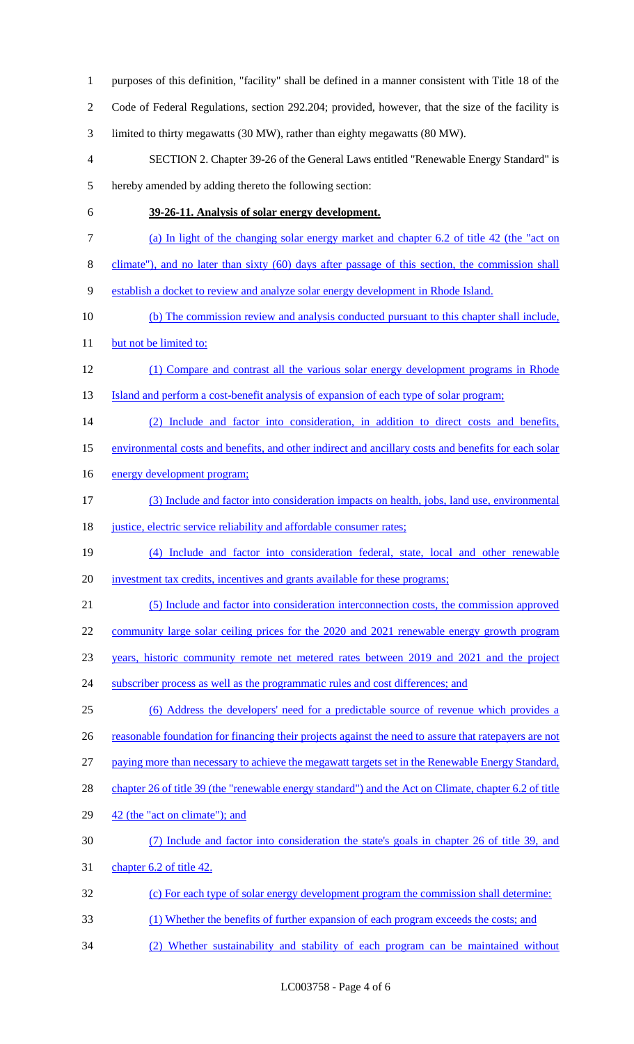purposes of this definition, "facility" shall be defined in a manner consistent with Title 18 of the Code of Federal Regulations, section 292.204; provided, however, that the size of the facility is limited to thirty megawatts (30 MW), rather than eighty megawatts (80 MW). SECTION 2. Chapter 39-26 of the General Laws entitled "Renewable Energy Standard" is hereby amended by adding thereto the following section: **39-26-11. Analysis of solar energy development.**  (a) In light of the changing solar energy market and chapter 6.2 of title 42 (the "act on climate"), and no later than sixty (60) days after passage of this section, the commission shall establish a docket to review and analyze solar energy development in Rhode Island. (b) The commission review and analysis conducted pursuant to this chapter shall include, 11 but not be limited to: (1) Compare and contrast all the various solar energy development programs in Rhode 13 Island and perform a cost-benefit analysis of expansion of each type of solar program; (2) Include and factor into consideration, in addition to direct costs and benefits, environmental costs and benefits, and other indirect and ancillary costs and benefits for each solar 16 energy development program; (3) Include and factor into consideration impacts on health, jobs, land use, environmental 18 justice, electric service reliability and affordable consumer rates; (4) Include and factor into consideration federal, state, local and other renewable investment tax credits, incentives and grants available for these programs; (5) Include and factor into consideration interconnection costs, the commission approved community large solar ceiling prices for the 2020 and 2021 renewable energy growth program years, historic community remote net metered rates between 2019 and 2021 and the project 24 subscriber process as well as the programmatic rules and cost differences; and (6) Address the developers' need for a predictable source of revenue which provides a 26 reasonable foundation for financing their projects against the need to assure that ratepayers are not paying more than necessary to achieve the megawatt targets set in the Renewable Energy Standard, 28 chapter 26 of title 39 (the "renewable energy standard") and the Act on Climate, chapter 6.2 of title 29 42 (the "act on climate"); and (7) Include and factor into consideration the state's goals in chapter 26 of title 39, and 31 chapter 6.2 of title 42. (c) For each type of solar energy development program the commission shall determine: (1) Whether the benefits of further expansion of each program exceeds the costs; and (2) Whether sustainability and stability of each program can be maintained without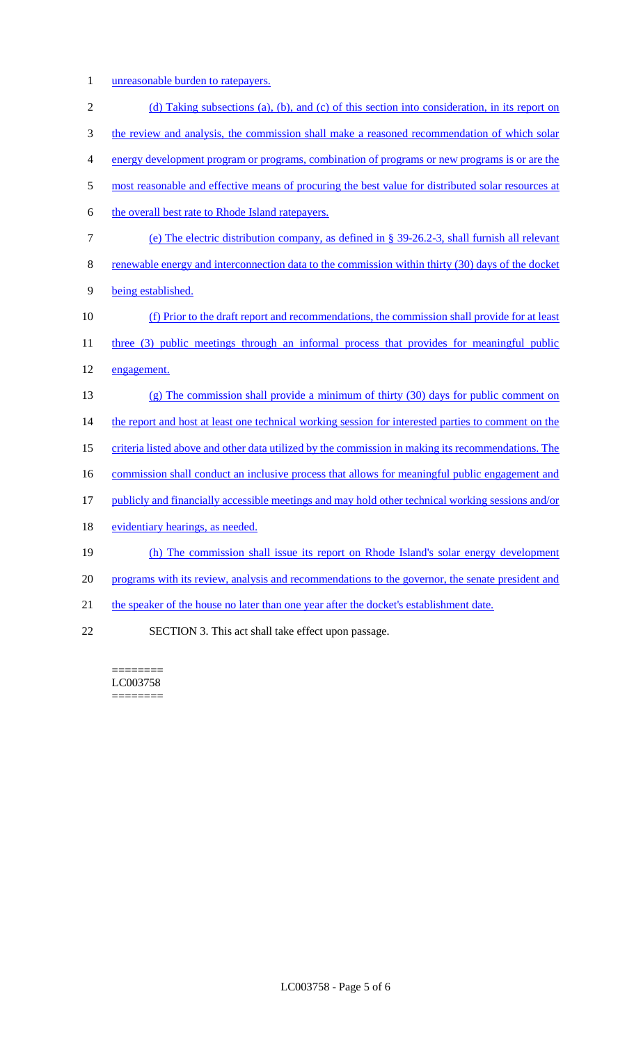1 unreasonable burden to ratepayers.

| $\sqrt{2}$     | (d) Taking subsections (a), (b), and (c) of this section into consideration, in its report on       |
|----------------|-----------------------------------------------------------------------------------------------------|
| $\mathfrak{Z}$ | the review and analysis, the commission shall make a reasoned recommendation of which solar         |
| $\overline{4}$ | energy development program or programs, combination of programs or new programs is or are the       |
| 5              | most reasonable and effective means of procuring the best value for distributed solar resources at  |
| 6              | the overall best rate to Rhode Island ratepayers.                                                   |
| $\tau$         | (e) The electric distribution company, as defined in § 39-26.2-3, shall furnish all relevant        |
| $8\,$          | renewable energy and interconnection data to the commission within thirty (30) days of the docket   |
| 9              | being established.                                                                                  |
| 10             | (f) Prior to the draft report and recommendations, the commission shall provide for at least        |
| 11             | three (3) public meetings through an informal process that provides for meaningful public           |
| 12             | engagement.                                                                                         |
| 13             | $(g)$ The commission shall provide a minimum of thirty (30) days for public comment on              |
| 14             | the report and host at least one technical working session for interested parties to comment on the |
| 15             | criteria listed above and other data utilized by the commission in making its recommendations. The  |
| 16             | commission shall conduct an inclusive process that allows for meaningful public engagement and      |
| 17             | publicly and financially accessible meetings and may hold other technical working sessions and/or   |
| 18             | evidentiary hearings, as needed.                                                                    |
| 19             | (h) The commission shall issue its report on Rhode Island's solar energy development                |
| 20             | programs with its review, analysis and recommendations to the governor, the senate president and    |
| 21             | the speaker of the house no later than one year after the docket's establishment date.              |
| 22             | SECTION 3. This act shall take effect upon passage.                                                 |

======== LC003758  $=$